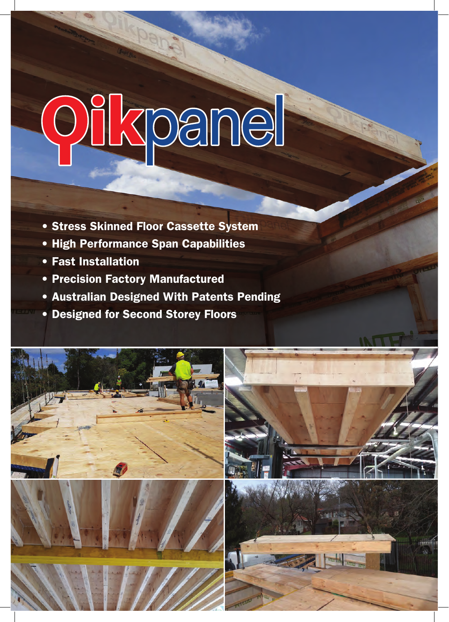# Oilkpanel

- Stress Skinned Floor Cassette System
- High Performance Span Capabilities
- Fast Installation
- Precision Factory Manufactured
- Australian Designed With Patents Pending
- Designed for Second Storey Floors